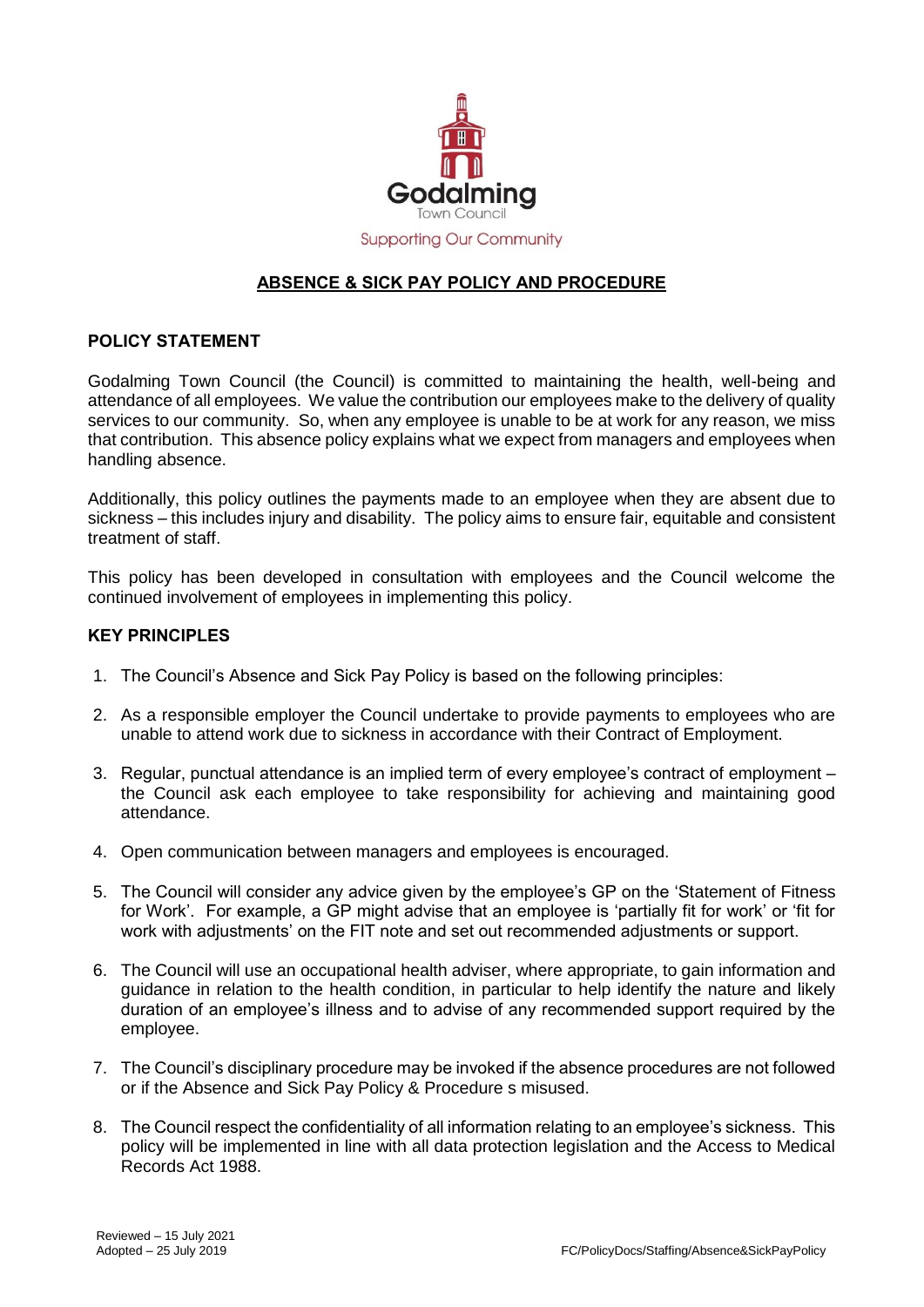

# **ABSENCE & SICK PAY POLICY AND PROCEDURE**

# **POLICY STATEMENT**

Godalming Town Council (the Council) is committed to maintaining the health, well-being and attendance of all employees. We value the contribution our employees make to the delivery of quality services to our community. So, when any employee is unable to be at work for any reason, we miss that contribution. This absence policy explains what we expect from managers and employees when handling absence.

Additionally, this policy outlines the payments made to an employee when they are absent due to sickness – this includes injury and disability. The policy aims to ensure fair, equitable and consistent treatment of staff.

This policy has been developed in consultation with employees and the Council welcome the continued involvement of employees in implementing this policy.

### **KEY PRINCIPLES**

- 1. The Council's Absence and Sick Pay Policy is based on the following principles:
- 2. As a responsible employer the Council undertake to provide payments to employees who are unable to attend work due to sickness in accordance with their Contract of Employment.
- 3. Regular, punctual attendance is an implied term of every employee's contract of employment the Council ask each employee to take responsibility for achieving and maintaining good attendance.
- 4. Open communication between managers and employees is encouraged.
- 5. The Council will consider any advice given by the employee's GP on the 'Statement of Fitness for Work'. For example, a GP might advise that an employee is 'partially fit for work' or 'fit for work with adjustments' on the FIT note and set out recommended adjustments or support.
- 6. The Council will use an occupational health adviser, where appropriate, to gain information and guidance in relation to the health condition, in particular to help identify the nature and likely duration of an employee's illness and to advise of any recommended support required by the employee.
- 7. The Council's disciplinary procedure may be invoked if the absence procedures are not followed or if the Absence and Sick Pay Policy & Procedure s misused.
- 8. The Council respect the confidentiality of all information relating to an employee's sickness. This policy will be implemented in line with all data protection legislation and the Access to Medical Records Act 1988.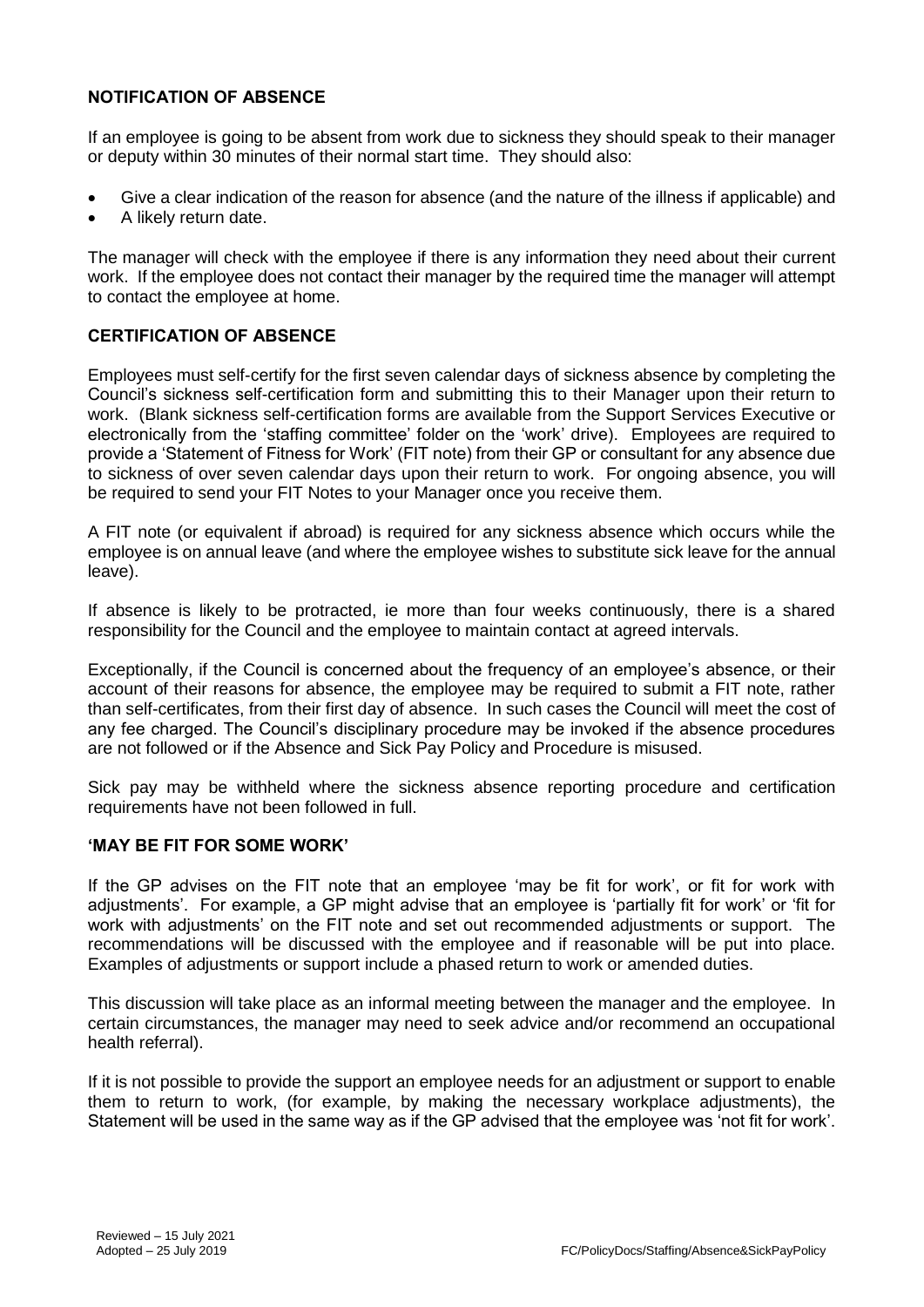# **NOTIFICATION OF ABSENCE**

If an employee is going to be absent from work due to sickness they should speak to their manager or deputy within 30 minutes of their normal start time. They should also:

- Give a clear indication of the reason for absence (and the nature of the illness if applicable) and
- A likely return date.

The manager will check with the employee if there is any information they need about their current work. If the employee does not contact their manager by the required time the manager will attempt to contact the employee at home.

# **CERTIFICATION OF ABSENCE**

Employees must self-certify for the first seven calendar days of sickness absence by completing the Council's sickness self-certification form and submitting this to their Manager upon their return to work. (Blank sickness self-certification forms are available from the Support Services Executive or electronically from the 'staffing committee' folder on the 'work' drive). Employees are required to provide a 'Statement of Fitness for Work' (FIT note) from their GP or consultant for any absence due to sickness of over seven calendar days upon their return to work. For ongoing absence, you will be required to send your FIT Notes to your Manager once you receive them.

A FIT note (or equivalent if abroad) is required for any sickness absence which occurs while the employee is on annual leave (and where the employee wishes to substitute sick leave for the annual leave).

If absence is likely to be protracted, ie more than four weeks continuously, there is a shared responsibility for the Council and the employee to maintain contact at agreed intervals.

Exceptionally, if the Council is concerned about the frequency of an employee's absence, or their account of their reasons for absence, the employee may be required to submit a FIT note, rather than self-certificates, from their first day of absence. In such cases the Council will meet the cost of any fee charged. The Council's disciplinary procedure may be invoked if the absence procedures are not followed or if the Absence and Sick Pay Policy and Procedure is misused.

Sick pay may be withheld where the sickness absence reporting procedure and certification requirements have not been followed in full.

#### **'MAY BE FIT FOR SOME WORK'**

If the GP advises on the FIT note that an employee 'may be fit for work', or fit for work with adjustments'. For example, a GP might advise that an employee is 'partially fit for work' or 'fit for work with adjustments' on the FIT note and set out recommended adjustments or support. The recommendations will be discussed with the employee and if reasonable will be put into place. Examples of adjustments or support include a phased return to work or amended duties.

This discussion will take place as an informal meeting between the manager and the employee. In certain circumstances, the manager may need to seek advice and/or recommend an occupational health referral).

If it is not possible to provide the support an employee needs for an adjustment or support to enable them to return to work, (for example, by making the necessary workplace adjustments), the Statement will be used in the same way as if the GP advised that the employee was 'not fit for work'.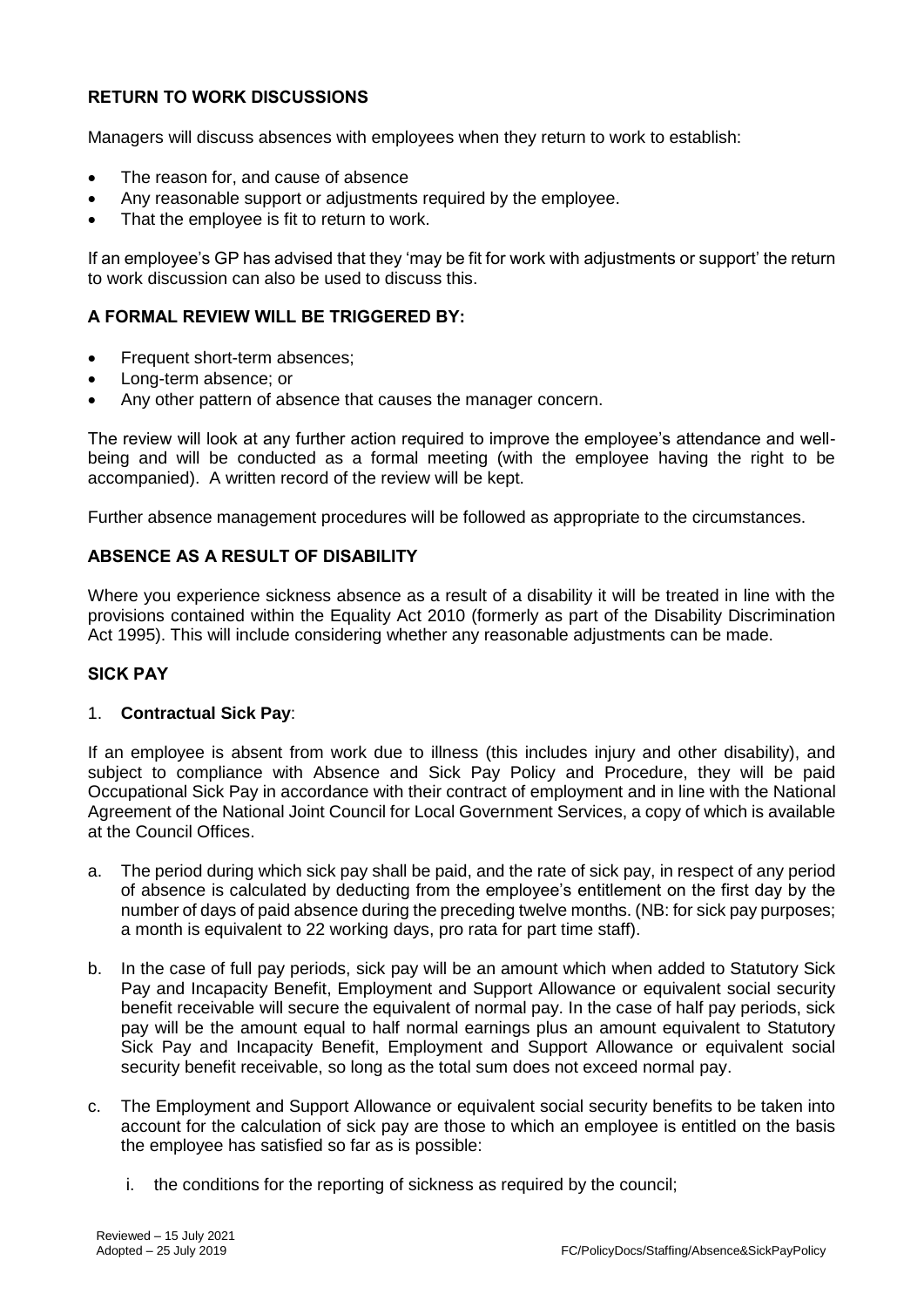# **RETURN TO WORK DISCUSSIONS**

Managers will discuss absences with employees when they return to work to establish:

- The reason for, and cause of absence
- Any reasonable support or adjustments required by the employee.
- That the employee is fit to return to work.

If an employee's GP has advised that they 'may be fit for work with adjustments or support' the return to work discussion can also be used to discuss this.

# **A FORMAL REVIEW WILL BE TRIGGERED BY:**

- Frequent short-term absences;
- Long-term absence; or
- Any other pattern of absence that causes the manager concern.

The review will look at any further action required to improve the employee's attendance and wellbeing and will be conducted as a formal meeting (with the employee having the right to be accompanied). A written record of the review will be kept.

Further absence management procedures will be followed as appropriate to the circumstances.

### **ABSENCE AS A RESULT OF DISABILITY**

Where you experience sickness absence as a result of a disability it will be treated in line with the provisions contained within the Equality Act 2010 (formerly as part of the Disability Discrimination Act 1995). This will include considering whether any reasonable adjustments can be made.

### **SICK PAY**

#### 1. **Contractual Sick Pay**:

If an employee is absent from work due to illness (this includes injury and other disability), and subject to compliance with Absence and Sick Pay Policy and Procedure, they will be paid Occupational Sick Pay in accordance with their contract of employment and in line with the National Agreement of the National Joint Council for Local Government Services, a copy of which is available at the Council Offices.

- a. The period during which sick pay shall be paid, and the rate of sick pay, in respect of any period of absence is calculated by deducting from the employee's entitlement on the first day by the number of days of paid absence during the preceding twelve months. (NB: for sick pay purposes; a month is equivalent to 22 working days, pro rata for part time staff).
- b. In the case of full pay periods, sick pay will be an amount which when added to Statutory Sick Pay and Incapacity Benefit, Employment and Support Allowance or equivalent social security benefit receivable will secure the equivalent of normal pay. In the case of half pay periods, sick pay will be the amount equal to half normal earnings plus an amount equivalent to Statutory Sick Pay and Incapacity Benefit, Employment and Support Allowance or equivalent social security benefit receivable, so long as the total sum does not exceed normal pay.
- c. The Employment and Support Allowance or equivalent social security benefits to be taken into account for the calculation of sick pay are those to which an employee is entitled on the basis the employee has satisfied so far as is possible:
	- i. the conditions for the reporting of sickness as required by the council;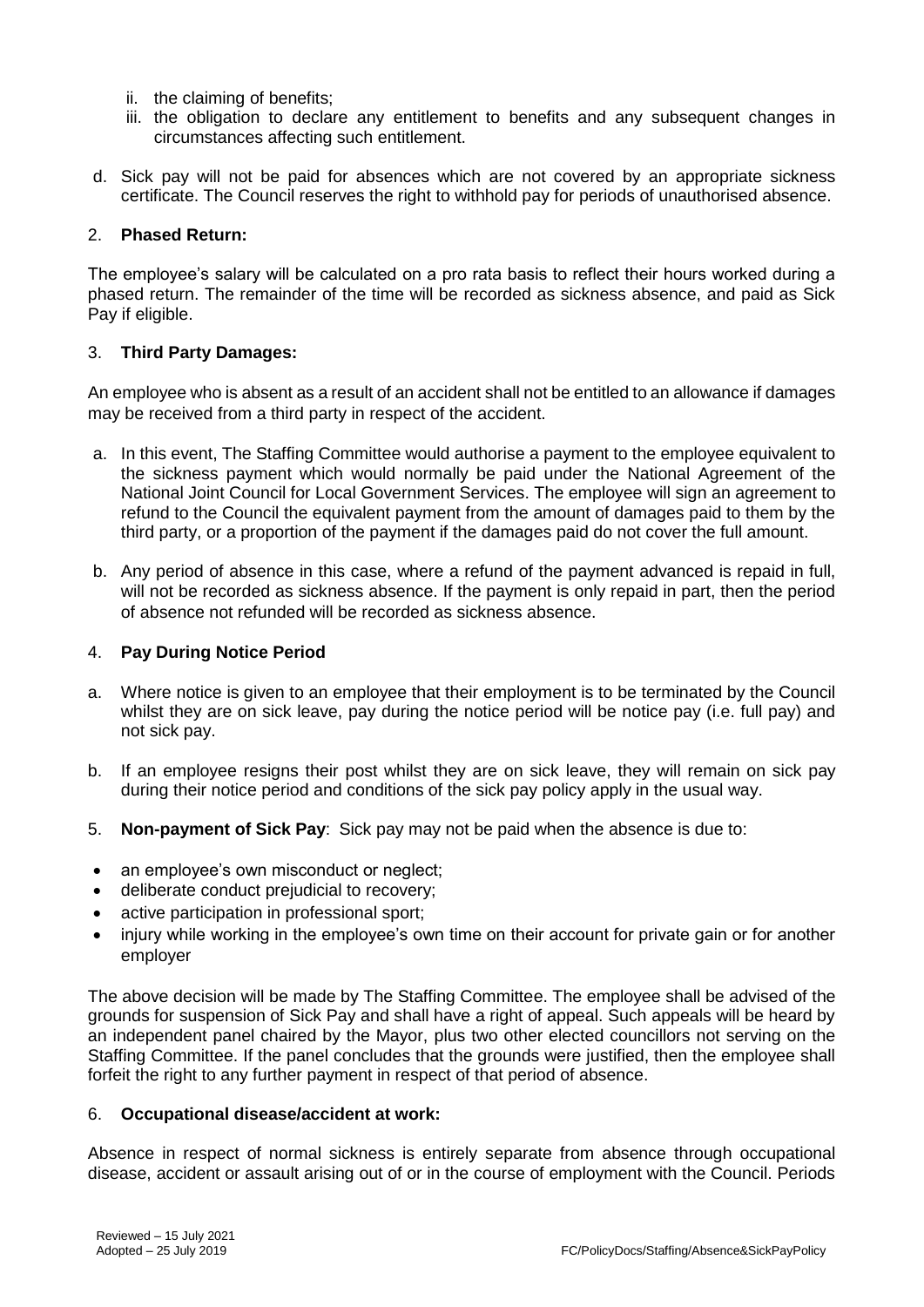- ii. the claiming of benefits;
- iii. the obligation to declare any entitlement to benefits and any subsequent changes in circumstances affecting such entitlement.
- d. Sick pay will not be paid for absences which are not covered by an appropriate sickness certificate. The Council reserves the right to withhold pay for periods of unauthorised absence.

### 2. **Phased Return:**

The employee's salary will be calculated on a pro rata basis to reflect their hours worked during a phased return. The remainder of the time will be recorded as sickness absence, and paid as Sick Pay if eligible.

### 3. **Third Party Damages:**

An employee who is absent as a result of an accident shall not be entitled to an allowance if damages may be received from a third party in respect of the accident.

- a. In this event, The Staffing Committee would authorise a payment to the employee equivalent to the sickness payment which would normally be paid under the National Agreement of the National Joint Council for Local Government Services. The employee will sign an agreement to refund to the Council the equivalent payment from the amount of damages paid to them by the third party, or a proportion of the payment if the damages paid do not cover the full amount.
- b. Any period of absence in this case, where a refund of the payment advanced is repaid in full, will not be recorded as sickness absence. If the payment is only repaid in part, then the period of absence not refunded will be recorded as sickness absence.

### 4. **Pay During Notice Period**

- a. Where notice is given to an employee that their employment is to be terminated by the Council whilst they are on sick leave, pay during the notice period will be notice pay (i.e. full pay) and not sick pay.
- b. If an employee resigns their post whilst they are on sick leave, they will remain on sick pay during their notice period and conditions of the sick pay policy apply in the usual way.
- 5. **Non-payment of Sick Pay**: Sick pay may not be paid when the absence is due to:
- an employee's own misconduct or neglect;
- deliberate conduct prejudicial to recovery;
- active participation in professional sport;
- injury while working in the employee's own time on their account for private gain or for another employer

The above decision will be made by The Staffing Committee. The employee shall be advised of the grounds for suspension of Sick Pay and shall have a right of appeal. Such appeals will be heard by an independent panel chaired by the Mayor, plus two other elected councillors not serving on the Staffing Committee. If the panel concludes that the grounds were justified, then the employee shall forfeit the right to any further payment in respect of that period of absence.

#### 6. **Occupational disease/accident at work:**

Absence in respect of normal sickness is entirely separate from absence through occupational disease, accident or assault arising out of or in the course of employment with the Council. Periods